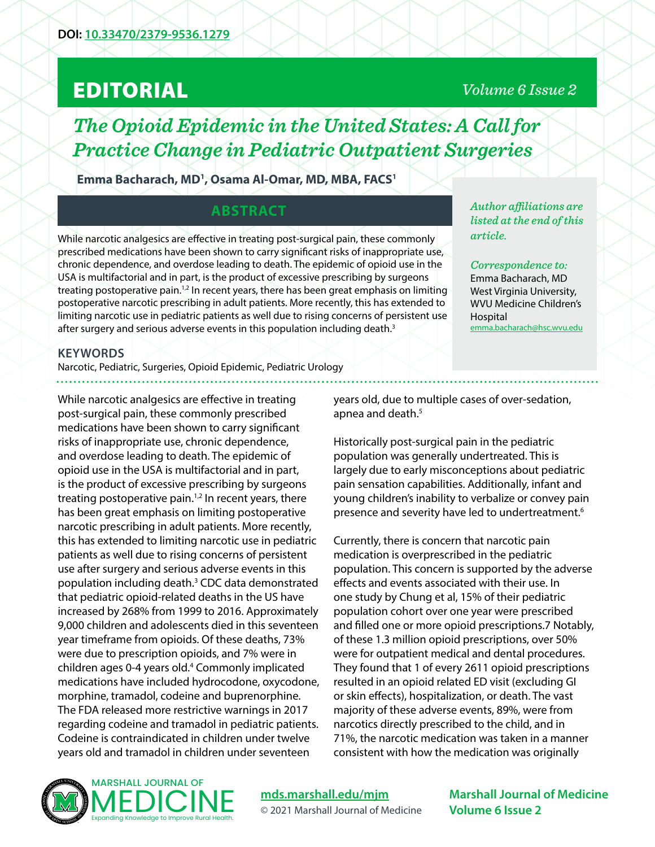# EDITORIAL

## *Volume 6 Issue 2*

*Author affiliations are listed at the end of this* 

*Correspondence to:*  Emma Bacharach, MD West Virginia University, WVU Medicine Children's

[emma.bacharach@hsc.wvu.edu](mailto:emma.bacharach%40hsc.wvu.edu?subject=)

*article.* 

Hospital

*The Opioid Epidemic in the United States: A Call for Practice Change in Pediatric Outpatient Surgeries*

**Emma Bacharach, MD1 , Osama Al-Omar, MD, MBA, FACS1**

## **ABSTRACT**

While narcotic analgesics are effective in treating post-surgical pain, these commonly prescribed medications have been shown to carry significant risks of inappropriate use, chronic dependence, and overdose leading to death. The epidemic of opioid use in the USA is multifactorial and in part, is the product of excessive prescribing by surgeons treating postoperative pain.<sup>1,2</sup> In recent years, there has been great emphasis on limiting postoperative narcotic prescribing in adult patients. More recently, this has extended to limiting narcotic use in pediatric patients as well due to rising concerns of persistent use after surgery and serious adverse events in this population including death.<sup>3</sup>

#### **KEYWORDS**

Narcotic, Pediatric, Surgeries, Opioid Epidemic, Pediatric Urology

While narcotic analgesics are effective in treating post-surgical pain, these commonly prescribed medications have been shown to carry significant risks of inappropriate use, chronic dependence, and overdose leading to death. The epidemic of opioid use in the USA is multifactorial and in part, is the product of excessive prescribing by surgeons treating postoperative pain.<sup>1,2</sup> In recent years, there has been great emphasis on limiting postoperative narcotic prescribing in adult patients. More recently, this has extended to limiting narcotic use in pediatric patients as well due to rising concerns of persistent use after surgery and serious adverse events in this population including death.<sup>3</sup> CDC data demonstrated that pediatric opioid-related deaths in the US have increased by 268% from 1999 to 2016. Approximately 9,000 children and adolescents died in this seventeen year timeframe from opioids. Of these deaths, 73% were due to prescription opioids, and 7% were in children ages 0-4 years old.4 Commonly implicated medications have included hydrocodone, oxycodone, morphine, tramadol, codeine and buprenorphine. The FDA released more restrictive warnings in 2017 regarding codeine and tramadol in pediatric patients. Codeine is contraindicated in children under twelve years old and tramadol in children under seventeen

years old, due to multiple cases of over-sedation, apnea and death.<sup>5</sup>

Historically post-surgical pain in the pediatric population was generally undertreated. This is largely due to early misconceptions about pediatric pain sensation capabilities. Additionally, infant and young children's inability to verbalize or convey pain presence and severity have led to undertreatment.<sup>6</sup>

Currently, there is concern that narcotic pain medication is overprescribed in the pediatric population. This concern is supported by the adverse effects and events associated with their use. In one study by Chung et al, 15% of their pediatric population cohort over one year were prescribed and filled one or more opioid prescriptions.7 Notably, of these 1.3 million opioid prescriptions, over 50% were for outpatient medical and dental procedures. They found that 1 of every 2611 opioid prescriptions resulted in an opioid related ED visit (excluding GI or skin effects), hospitalization, or death. The vast majority of these adverse events, 89%, were from narcotics directly prescribed to the child, and in 71%, the narcotic medication was taken in a manner consistent with how the medication was originally



**[mds.marshall.edu/mjm](https://mds.marshall.edu/mjm/)** © 2021 Marshall Journal of Medicine

**Marshall Journal of Medicine Volume 6 Issue 2**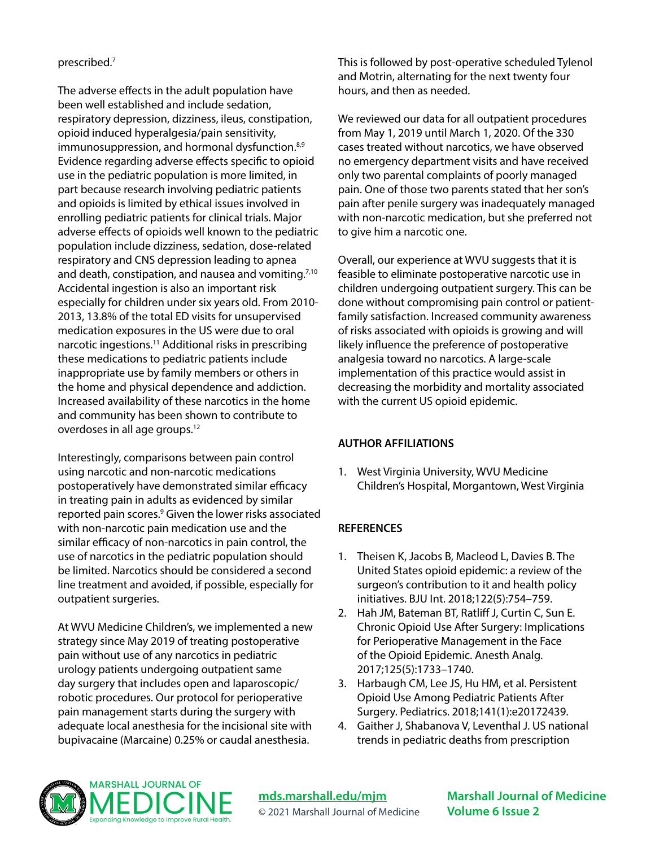#### prescribed.7

The adverse effects in the adult population have been well established and include sedation, respiratory depression, dizziness, ileus, constipation, opioid induced hyperalgesia/pain sensitivity, immunosuppression, and hormonal dysfunction.<sup>8,9</sup> Evidence regarding adverse effects specific to opioid use in the pediatric population is more limited, in part because research involving pediatric patients and opioids is limited by ethical issues involved in enrolling pediatric patients for clinical trials. Major adverse effects of opioids well known to the pediatric population include dizziness, sedation, dose-related respiratory and CNS depression leading to apnea and death, constipation, and nausea and vomiting.<sup>7,10</sup> Accidental ingestion is also an important risk especially for children under six years old. From 2010- 2013, 13.8% of the total ED visits for unsupervised medication exposures in the US were due to oral narcotic ingestions.11 Additional risks in prescribing these medications to pediatric patients include inappropriate use by family members or others in the home and physical dependence and addiction. Increased availability of these narcotics in the home and community has been shown to contribute to overdoses in all age groups.12

Interestingly, comparisons between pain control using narcotic and non-narcotic medications postoperatively have demonstrated similar efficacy in treating pain in adults as evidenced by similar reported pain scores.<sup>9</sup> Given the lower risks associated with non-narcotic pain medication use and the similar efficacy of non-narcotics in pain control, the use of narcotics in the pediatric population should be limited. Narcotics should be considered a second line treatment and avoided, if possible, especially for outpatient surgeries.

At WVU Medicine Children's, we implemented a new strategy since May 2019 of treating postoperative pain without use of any narcotics in pediatric urology patients undergoing outpatient same day surgery that includes open and laparoscopic/ robotic procedures. Our protocol for perioperative pain management starts during the surgery with adequate local anesthesia for the incisional site with bupivacaine (Marcaine) 0.25% or caudal anesthesia.

This is followed by post-operative scheduled Tylenol and Motrin, alternating for the next twenty four hours, and then as needed.

We reviewed our data for all outpatient procedures from May 1, 2019 until March 1, 2020. Of the 330 cases treated without narcotics, we have observed no emergency department visits and have received only two parental complaints of poorly managed pain. One of those two parents stated that her son's pain after penile surgery was inadequately managed with non-narcotic medication, but she preferred not to give him a narcotic one.

Overall, our experience at WVU suggests that it is feasible to eliminate postoperative narcotic use in children undergoing outpatient surgery. This can be done without compromising pain control or patientfamily satisfaction. Increased community awareness of risks associated with opioids is growing and will likely influence the preference of postoperative analgesia toward no narcotics. A large-scale implementation of this practice would assist in decreasing the morbidity and mortality associated with the current US opioid epidemic.

#### **AUTHOR AFFILIATIONS**

1. West Virginia University, WVU Medicine Children's Hospital, Morgantown, West Virginia

### **REFERENCES**

- 1. Theisen K, Jacobs B, Macleod L, Davies B. The United States opioid epidemic: a review of the surgeon's contribution to it and health policy initiatives. BJU Int. 2018;122(5):754–759.
- 2. Hah JM, Bateman BT, Ratliff J, Curtin C, Sun E. Chronic Opioid Use After Surgery: Implications for Perioperative Management in the Face of the Opioid Epidemic. Anesth Analg. 2017;125(5):1733–1740.
- 3. Harbaugh CM, Lee JS, Hu HM, et al. Persistent Opioid Use Among Pediatric Patients After Surgery. Pediatrics. 2018;141(1):e20172439.
- 4. Gaither J, Shabanova V, Leventhal J. US national trends in pediatric deaths from prescription



**[mds.marshall.edu/mjm](https://mds.marshall.edu/mjm/)** © 2021 Marshall Journal of Medicine **Marshall Journal of Medicine Volume 6 Issue 2**